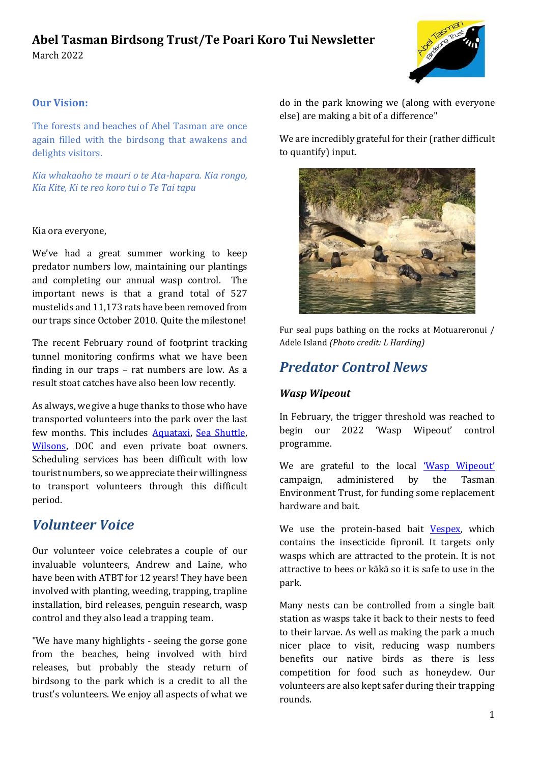#### **Abel Tasman Birdsong Trust/Te Poari Koro Tui Newsletter** March 2022



#### **Our Vision:**

The forests and beaches of Abel Tasman are once again filled with the birdsong that awakens and delights visitors.

*Kia whakaoho te mauri o te Ata-hapara. Kia rongo, Kia Kite, Ki te reo koro tui o Te Tai tapu*

#### Kia ora everyone,

We've had a great summer working to keep predator numbers low, maintaining our plantings and completing our annual wasp control. The important news is that a grand total of 527 mustelids and 11,173 rats have been removed from our traps since October 2010. Quite the milestone!

The recent February round of footprint tracking tunnel monitoring confirms what we have been finding in our traps – rat numbers are low. As a result stoat catches have also been low recently.

As always, we give a huge thanks to those who have transported volunteers into the park over the last few months. This includes [Aquataxi,](https://aquataxi.co.nz/) [Sea Shuttle,](https://abeltasmanseashuttles.co.nz/)  [Wilsons,](https://www.abeltasman.co.nz/) DOC and even private boat owners. Scheduling services has been difficult with low tourist numbers, so we appreciate their willingness to transport volunteers through this difficult period.

## *Volunteer Voice*

Our volunteer voice celebrates a couple of our invaluable volunteers, Andrew and Laine, who have been with ATBT for 12 years! They have been involved with planting, weeding, trapping, trapline installation, bird releases, penguin research, wasp control and they also lead a trapping team.

"We have many highlights - seeing the gorse gone from the beaches, being involved with bird releases, but probably the steady return of birdsong to the park which is a credit to all the trust's volunteers. We enjoy all aspects of what we

do in the park knowing we (along with everyone else) are making a bit of a difference"

We are incredibly grateful for their (rather difficult to quantify) input.



Fur seal pups bathing on the rocks at Motuareronui / Adele Island *(Photo credit: L Harding)*

## *Predator Control News*

#### *Wasp Wipeout*

In February, the trigger threshold was reached to begin our 2022 'Wasp Wipeout' control programme.

We are grateful to the local ['Wasp Wipeout'](https://givealittle.co.nz/cause/wasp-wipeout-1) campaign, administered by the Tasman Environment Trust, for funding some replacement hardware and bait.

We use the protein-based bait [Vespex,](https://www.merchento.com/) which contains the insecticide fipronil. It targets only wasps which are attracted to the protein. It is not attractive to bees or kākā so it is safe to use in the park.

Many nests can be controlled from a single bait station as wasps take it back to their nests to feed to their larvae. As well as making the park a much nicer place to visit, reducing wasp numbers benefits our native birds as there is less competition for food such as honeydew. Our volunteers are also kept safer during their trapping rounds.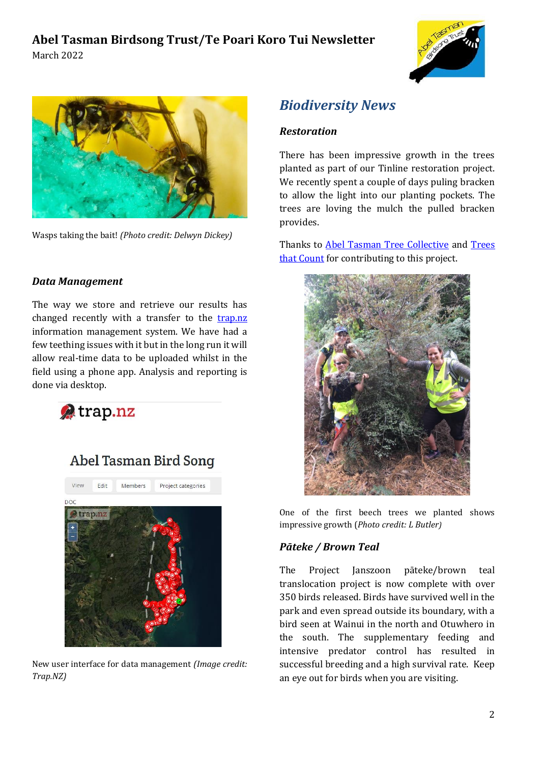



Wasps taking the bait! *(Photo credit: Delwyn Dickey)*

#### *Data Management*

The way we store and retrieve our results has changed recently with a transfer to the [trap.nz](https://www.trap.nz/) information management system. We have had a few teething issues with it but in the long run it will allow real-time data to be uploaded whilst in the field using a phone app. Analysis and reporting is done via desktop.



# Abel Tasman Bird Song



New user interface for data management *(Image credit: Trap.NZ)*

# *Biodiversity News*

#### *Restoration*

There has been impressive growth in the trees planted as part of our Tinline restoration project. We recently spent a couple of days puling bracken to allow the light into our planting pockets. The trees are loving the mulch the pulled bracken provides.

Thanks to [Abel Tasman Tree Collective](https://tasmanbayguardians.org.nz/abel-tasman-tree-collective/) and [Trees](https://www.treesthatcount.co.nz/)  [that Count](https://www.treesthatcount.co.nz/) for contributing to this project.



One of the first beech trees we planted shows impressive growth (*Photo credit: L Butler)*

#### *Pāteke / Brown Teal*

The Project Janszoon pāteke/brown teal translocation project is now complete with over 350 birds released. Birds have survived well in the park and even spread outside its boundary, with a bird seen at Wainui in the north and Otuwhero in the south. The supplementary feeding and intensive predator control has resulted in successful breeding and a high survival rate. Keep an eye out for birds when you are visiting.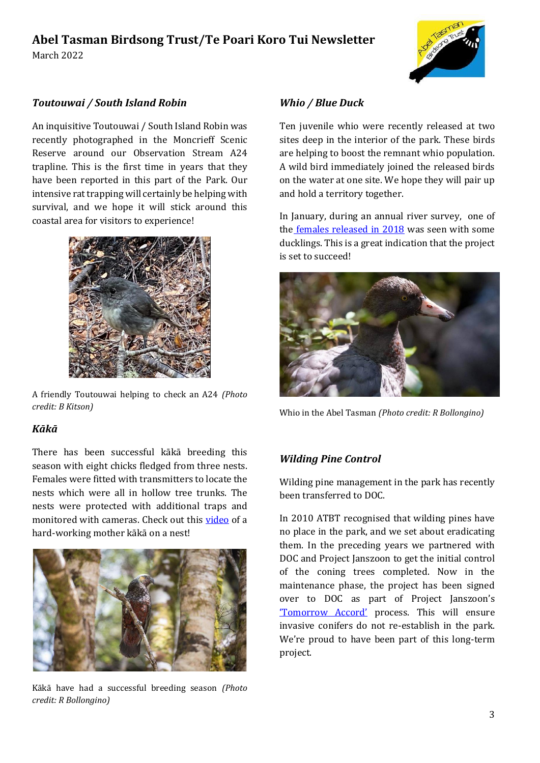# **Abel Tasman Birdsong Trust/Te Poari Koro Tui Newsletter**





#### *Toutouwai / South Island Robin*

An inquisitive Toutouwai / South Island Robin was recently photographed in the Moncrieff Scenic Reserve around our Observation Stream A24 trapline. This is the first time in years that they have been reported in this part of the Park. Our intensive rat trapping will certainly be helping with survival, and we hope it will stick around this coastal area for visitors to experience!



A friendly Toutouwai helping to check an A24 *(Photo credit: B Kitson)*

#### *Kākā*

There has been successful kākā breeding this season with eight chicks fledged from three nests. Females were fitted with transmitters to locate the nests which were all in hollow tree trunks. The nests were protected with additional traps and monitored with cameras. Check out this [video](https://www.facebook.com/ProjectJanszoon/videos/695155708565004) of a hard-working mother kākā on a nest!



Kākā have had a successful breeding season *(Photo credit: R Bollongino)*

#### *Whio / Blue Duck*

Ten juvenile whio were recently released at two sites deep in the interior of the park. These birds are helping to boost the remnant whio population. A wild bird immediately joined the released birds on the water at one site. We hope they will pair up and hold a territory together.

In January, during an annual river survey, one of the [females released in 2018](https://www.stuff.co.nz/environment/127494708/first-wildborn-whio-ducklings-spotted-in-abel-tasman?cid=app-iPhone&fbclid=IwAR3wyKnDel3iFlSBmOPIcrG11WcLIwe-s2uH3EGfrNQ-M1gqS04ihkPF-ck) was seen with some ducklings. This is a great indication that the project is set to succeed!



Whio in the Abel Tasman *(Photo credit: R Bollongino)*

#### *Wilding Pine Control*

Wilding pine management in the park has recently been transferred to DOC.

In 2010 ATBT recognised that wilding pines have no place in the park, and we set about eradicating them. In the preceding years we partnered with DOC and Project Janszoon to get the initial control of the coning trees completed. Now in the maintenance phase, the project has been signed over to DOC as part of Project Janszoon's ['Tomorrow Accord'](https://www.janszoon.org/assets/documents/docs_project-janszoon-tomorrow_accord.pdf) process. This will ensure invasive conifers do not re-establish in the park. We're proud to have been part of this long-term project.